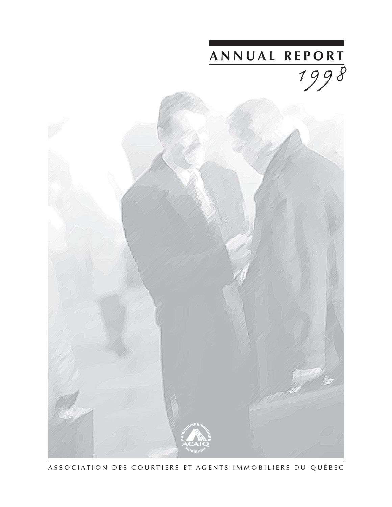

ASSOCIATION DES COURTIERS ET AGENTS IMMOBILIERS DU QUÉBEC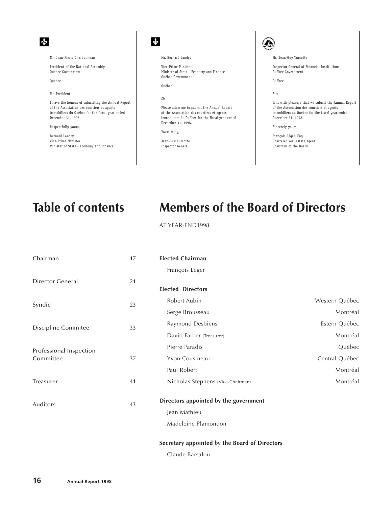| Mr. Jean-Guy Turcotte<br>Inspector General of Financial Institutions<br>Ouébec Government |
|-------------------------------------------------------------------------------------------|
|                                                                                           |
|                                                                                           |
|                                                                                           |
|                                                                                           |
|                                                                                           |
|                                                                                           |
|                                                                                           |
|                                                                                           |
| It is with pleasure that we submit the Annual Report                                      |
| of the Association des courtiers et agents                                                |
| immobiliers du Québec for the fiscal year ended                                           |
| December 31, 1998.                                                                        |
|                                                                                           |
|                                                                                           |
| François Léger, Eng.                                                                      |
|                                                                                           |
| Chartered real estate agent                                                               |
|                                                                                           |

## **Table of contents**

| Chairman                             | 17 |
|--------------------------------------|----|
| Director General                     | 21 |
| Syndic                               | 23 |
| Discipline Commitee                  | 33 |
| Professional Inspection<br>Committee | 37 |
| <b>Treasurer</b>                     | 41 |
| <b>Auditors</b>                      | 43 |

## **Members of the Board of Directors**

AT YEAR-END1998

#### **Elected Chairman**

François Léger

## **Elected Directors**

| Robert Aubin                      | Western Québec |
|-----------------------------------|----------------|
| Serge Brousseau                   | Montréal       |
| Raymond Desbiens                  | Estern Québec  |
| David Farber (Treasurer)          | Montréal       |
| Pierre Paradis                    | <b>Ouébec</b>  |
| Yvon Cousineau                    | Central Ouébec |
| Paul Robert                       | Montréal       |
| Nicholas Stephens (Vice-Chairman) | Montréal       |

## **Directors appointed by the government**

Jean Mathieu

Madeleine Plamondon

## **Secretary appointed by the Board of Directors**

Claude Barsalou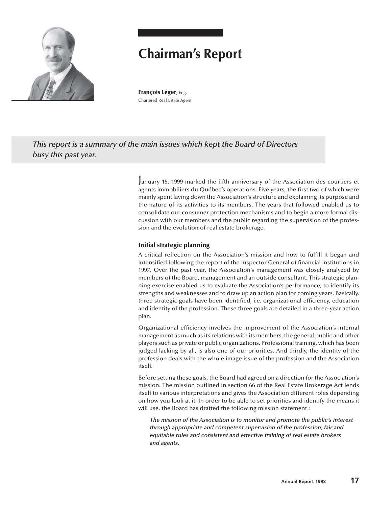

# **Chairman's Report**

**François Léger**, Eng. Chartered Real Estate Agent

*This report is a summary of the main issues which kept the Board of Directors busy this past year.*

> January 15, 1999 marked the fifth anniversary of the Association des courtiers et agents immobiliers du Québec's operations. Five years, the first two of which were mainly spent laying down the Association's structure and explaining its purpose and the nature of its activities to its members. The years that followed enabled us to consolidate our consumer protection mechanisms and to begin a more formal discussion with our members and the public regarding the supervision of the profession and the evolution of real estate brokerage.

## **Initial strategic planning**

A critical reflection on the Association's mission and how to fulfill it began and intensified following the report of the Inspector General of financial institutions in 1997. Over the past year, the Association's management was closely analyzed by members of the Board, management and an outside consultant. This strategic planning exercise enabled us to evaluate the Association's performance, to identify its strengths and weaknesses and to draw up an action plan for coming years. Basically, three strategic goals have been identified, i.e. organizational efficiency, education and identity of the profession. These three goals are detailed in a three-year action plan.

Organizational efficiency involves the improvement of the Association's internal management as much as its relations with its members, the general public and other players such as private or public organizations. Professional training, which has been judged lacking by all, is also one of our priorities. And thirdly, the identity of the profession deals with the whole image issue of the profession and the Association itself.

Before setting these goals, the Board had agreed on a direction for the Association's mission. The mission outlined in section 66 of the Real Estate Brokerage Act lends itself to various interpretations and gives the Association different roles depending on how you look at it. In order to be able to set priorities and identify the means it will use, the Board has drafted the following mission statement :

*The mission of the Association is to monitor and promote the public's interest through appropriate and competent supervision of the profession, fair and equitable rules and consistent and effective training of real estate brokers and agents.*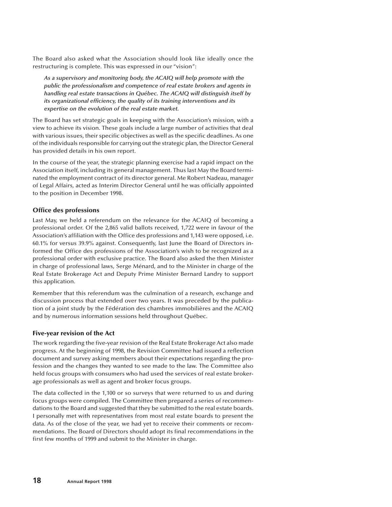The Board also asked what the Association should look like ideally once the restructuring is complete. This was expressed in our "vision":

*As a supervisory and monitoring body, the ACAIQ will help promote with the public the professionalism and competence of real estate brokers and agents in handling real estate transactions in Québec. The ACAIQ will distinguish itself by its organizational efficiency, the quality of its training interventions and its expertise on the evolution of the real estate market.*

The Board has set strategic goals in keeping with the Association's mission, with a view to achieve its vision. These goals include a large number of activities that deal with various issues, their specific objectives as well as the specific deadlines. As one of the individuals responsible for carrying out the strategic plan, the Director General has provided details in his own report.

In the course of the year, the strategic planning exercise had a rapid impact on the Association itself, including its general management. Thus last May the Board terminated the employment contract of its director general. Me Robert Nadeau, manager of Legal Affairs, acted as Interim Director General until he was officially appointed to the position in December 1998.

## **Office des professions**

Last May, we held a referendum on the relevance for the ACAIQ of becoming a professional order. Of the 2,865 valid ballots received, 1,722 were in favour of the Association's affiliation with the Office des professions and 1,143 were opposed, i.e. 60.1% for versus 39.9% against. Consequently, last June the Board of Directors informed the Office des professions of the Association's wish to be recognized as a professional order with exclusive practice. The Board also asked the then Minister in charge of professional laws, Serge Ménard, and to the Minister in charge of the Real Estate Brokerage Act and Deputy Prime Minister Bernard Landry to support this application.

Remember that this referendum was the culmination of a research, exchange and discussion process that extended over two years. It was preceded by the publication of a joint study by the Fédération des chambres immobilières and the ACAIQ and by numerous information sessions held throughout Québec.

## **Five-year revision of the Act**

The work regarding the five-year revision of the Real Estate Brokerage Act also made progress. At the beginning of 1998, the Revision Committee had issued a reflection document and survey asking members about their expectations regarding the profession and the changes they wanted to see made to the law. The Committee also held focus groups with consumers who had used the services of real estate brokerage professionals as well as agent and broker focus groups.

The data collected in the 1,100 or so surveys that were returned to us and during focus groups were compiled. The Committee then prepared a series of recommendations to the Board and suggested that they be submitted to the real estate boards. I personally met with representatives from most real estate boards to present the data. As of the close of the year, we had yet to receive their comments or recommendations. The Board of Directors should adopt its final recommendations in the first few months of 1999 and submit to the Minister in charge.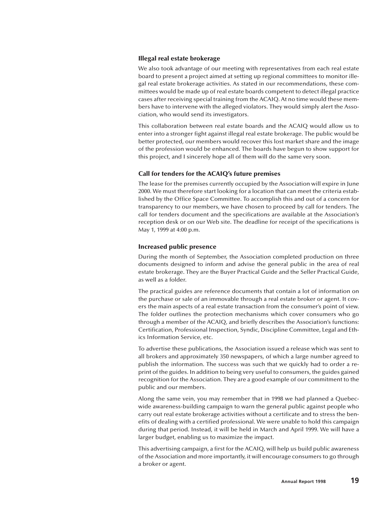#### **Illegal real estate brokerage**

We also took advantage of our meeting with representatives from each real estate board to present a project aimed at setting up regional committees to monitor illegal real estate brokerage activities. As stated in our recommendations, these committees would be made up of real estate boards competent to detect illegal practice cases after receiving special training from the ACAIQ. At no time would these members have to intervene with the alleged violators. They would simply alert the Association, who would send its investigators.

This collaboration between real estate boards and the ACAIQ would allow us to enter into a stronger fight against illegal real estate brokerage. The public would be better protected, our members would recover this lost market share and the image of the profession would be enhanced. The boards have begun to show support for this project, and I sincerely hope all of them will do the same very soon.

#### **Call for tenders for the ACAIQ's future premises**

The lease for the premises currently occupied by the Association will expire in June 2000. We must therefore start looking for a location that can meet the criteria established by the Office Space Committee. To accomplish this and out of a concern for transparency to our members, we have chosen to proceed by call for tenders. The call for tenders document and the specifications are available at the Association's reception desk or on our Web site. The deadline for receipt of the specifications is May 1, 1999 at 4:00 p.m.

#### **Increased public presence**

During the month of September, the Association completed production on three documents designed to inform and advise the general public in the area of real estate brokerage. They are the Buyer Practical Guide and the Seller Practical Guide, as well as a folder.

The practical guides are reference documents that contain a lot of information on the purchase or sale of an immovable through a real estate broker or agent. It covers the main aspects of a real estate transaction from the consumer's point of view. The folder outlines the protection mechanisms which cover consumers who go through a member of the ACAIQ, and briefly describes the Association's functions: Certification, Professional Inspection, Syndic, Discipline Committee, Legal and Ethics Information Service, etc.

To advertise these publications, the Association issued a release which was sent to all brokers and approximately 350 newspapers, of which a large number agreed to publish the information. The success was such that we quickly had to order a reprint of the guides. In addition to being very useful to consumers, the guides gained recognition for the Association. They are a good example of our commitment to the public and our members.

Along the same vein, you may remember that in 1998 we had planned a Quebecwide awareness-building campaign to warn the general public against people who carry out real estate brokerage activities without a certificate and to stress the benefits of dealing with a certified professional. We were unable to hold this campaign during that period. Instead, it will be held in March and April 1999. We will have a larger budget, enabling us to maximize the impact.

This advertising campaign, a first for the ACAIQ, will help us build public awareness of the Association and more importantly, it will encourage consumers to go through a broker or agent.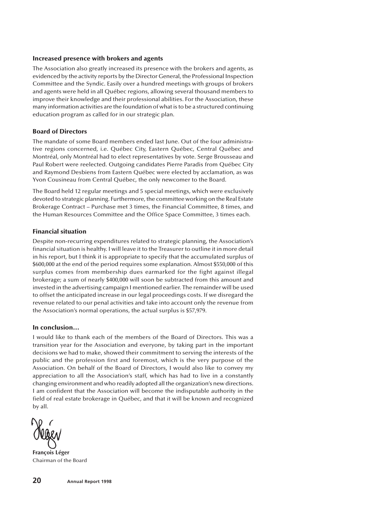#### **Increased presence with brokers and agents**

The Association also greatly increased its presence with the brokers and agents, as evidenced by the activity reports by the Director General, the Professional Inspection Committee and the Syndic. Easily over a hundred meetings with groups of brokers and agents were held in all Québec regions, allowing several thousand members to improve their knowledge and their professional abilities. For the Association, these many information activities are the foundation of what is to be a structured continuing education program as called for in our strategic plan.

## **Board of Directors**

The mandate of some Board members ended last June. Out of the four administrative regions concerned, i.e. Québec City, Eastern Québec, Central Québec and Montréal, only Montréal had to elect representatives by vote. Serge Brousseau and Paul Robert were reelected. Outgoing candidates Pierre Paradis from Québec City and Raymond Desbiens from Eastern Québec were elected by acclamation, as was Yvon Cousineau from Central Québec, the only newcomer to the Board.

The Board held 12 regular meetings and 5 special meetings, which were exclusively devoted to strategic planning. Furthermore, the committee working on the Real Estate Brokerage Contract – Purchase met 3 times, the Financial Committee, 8 times, and the Human Resources Committee and the Office Space Committee, 3 times each.

#### **Financial situation**

Despite non-recurring expenditures related to strategic planning, the Association's financial situation is healthy. I will leave it to the Treasurer to outline it in more detail in his report, but I think it is appropriate to specify that the accumulated surplus of \$600,000 at the end of the period requires some explanation. Almost \$550,000 of this surplus comes from membership dues earmarked for the fight against illegal brokerage; a sum of nearly \$400,000 will soon be subtracted from this amount and invested in the advertising campaign I mentioned earlier. The remainder will be used to offset the anticipated increase in our legal proceedings costs. If we disregard the revenue related to our penal activities and take into account only the revenue from the Association's normal operations, the actual surplus is \$57,979.

#### **In conclusion…**

I would like to thank each of the members of the Board of Directors. This was a transition year for the Association and everyone, by taking part in the important decisions we had to make, showed their commitment to serving the interests of the public and the profession first and foremost, which is the very purpose of the Association. On behalf of the Board of Directors, I would also like to convey my appreciation to all the Association's staff, which has had to live in a constantly changing environment and who readily adopted all the organization's new directions. I am confident that the Association will become the indisputable authority in the field of real estate brokerage in Québec, and that it will be known and recognized by all.

**François Léger** Chairman of the Board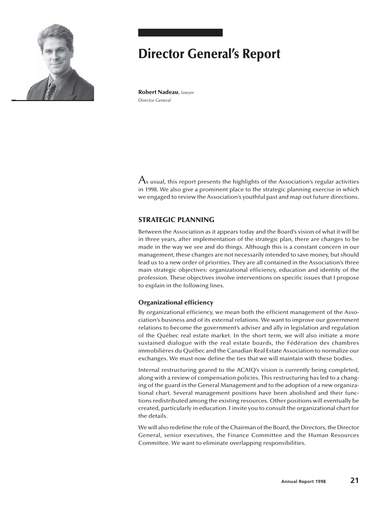

# **Director General's Report**

**Robert Nadeau**, lawyer Director General

 ${\mathcal A}$ s usual, this report presents the highlights of the Association's regular activities in 1998. We also give a prominent place to the strategic planning exercise in which we engaged to review the Association's youthful past and map out future directions.

## **STRATEGIC PLANNING**

Between the Association as it appears today and the Board's vision of what it will be in three years, after implementation of the strategic plan, there are changes to be made in the way we see and do things. Although this is a constant concern in our management, these changes are not necessarily intended to save money, but should lead us to a new order of priorities. They are all contained in the Association's three main strategic objectives: organizational efficiency, education and identity of the profession. These objectives involve interventions on specific issues that I propose to explain in the following lines.

## **Organizational efficiency**

By organizational efficiency, we mean both the efficient management of the Association's business and of its external relations. We want to improve our government relations to become the government's adviser and ally in legislation and regulation of the Québec real estate market. In the short term, we will also initiate a more sustained dialogue with the real estate boards, the Fédération des chambres immobilières du Québec and the Canadian Real Estate Association to normalize our exchanges. We must now define the ties that we will maintain with these bodies.

Internal restructuring geared to the ACAIQ's vision is currently being completed, along with a review of compensation policies. This restructuring has led to a changing of the guard in the General Management and to the adoption of a new organizational chart. Several management positions have been abolished and their functions redistributed among the existing resources. Other positions will eventually be created, particularly in education. I invite you to consult the organizational chart for the details.

We will also redefine the role of the Chairman of the Board, the Directors, the Director General, senior executives, the Finance Committee and the Human Resources Committee. We want to eliminate overlapping responsibilities.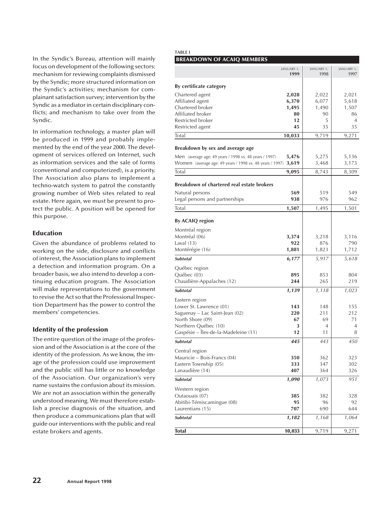In the Syndic's Bureau, attention will mainly focus on development of the following sectors: mechanism for reviewing complaints dismissed by the Syndic; more structured information on the Syndic's activities; mechanism for complainant satisfaction survey; intervention by the Syndic as a mediator in certain disciplinary conflicts; and mechanism to take over from the Syndic.

In information technology, a master plan will be produced in 1999 and probably implemented by the end of the year 2000. The development of services offered on Internet, such as information services and the sale of forms (conventional and computerized), is a priority. The Association also plans to implement a techno-watch system to patrol the constantly growing number of Web sites related to real estate. Here again, we must be present to protect the public. A position will be opened for this purpose.

## **Education**

Given the abundance of problems related to working on the side, disclosure and conflicts of interest, the Association plans to implement a detection and information program. On a broader basis, we also intend to develop a continuing education program. The Association will make representations to the government to revise the Act so that the Professional Inspection Department has the power to control the members' competencies.

## **Identity of the profession**

The entire question of the image of the profession and of the Association is at the core of the identity of the profession. As we know, the image of the profession could use improvement and the public still has little or no knowledge of the Association. Our organization's very name sustains the confusion about its mission. We are not an association within the generally understood meaning. We must therefore establish a precise diagnosis of the situation, and then produce a communications plan that will guide our interventions with the public and real estate brokers and agents.

#### **TABLE I BREAKDOWN OF ACAIO MEMBERS**

|                                                              | JANUARY 1,<br>1999 | JANUARY 1,<br>1998 | JANUARY 1,<br>1997 |
|--------------------------------------------------------------|--------------------|--------------------|--------------------|
| By certificate category                                      |                    |                    |                    |
| Chartered agent                                              | 2,028              | 2,022              | 2,021              |
| Affiliated agent                                             | 6,370              | 6,077              | 5,618              |
| Chartered broker                                             | 1,495              | 1,490              | 1,507              |
| Affiliated broker                                            | 80                 | 90                 | 86                 |
| Restricted broker                                            | 12                 | 5                  | $\overline{4}$     |
| Restricted agent                                             | 45                 | 35                 | 35                 |
| Total                                                        | 10,033             | 9,719              | 9,271              |
| Breakdown by sex and average age                             |                    |                    |                    |
| Men (average age: 49 years / 1998 vs. 48 years / 1997)       | 5,476              | 5,275              | 5,136              |
| Women (average age: 49 years / 1998 vs. 48 years / 1997)     | 3,619              | 3,468              | 3,173              |
| Total                                                        | 9,095              | 8,743              | 8,309              |
| Breakdown of chartered real estate brokers                   |                    |                    |                    |
| Natural persons                                              | 569                | 519                | 549                |
| Legal persons and partnerships                               | 938                | 976                | 962                |
| Total                                                        | 1,507              | 1,495              | 1,501              |
| By ACAIQ region                                              |                    |                    |                    |
| Montréal region                                              |                    |                    |                    |
| Montréal (06)                                                | 3,374              | 3,218              | 3,116              |
| Laval $(13)$                                                 | 922                | 876                | 790                |
| Montérégie (16)                                              | 1,881              | 1,823              | 1,712              |
| <b>Subtotal</b>                                              | 6,177              | 5,917              | 5,618              |
| Québec region                                                |                    |                    |                    |
| Québec (03)                                                  | 895                | 853                | 804                |
| Chaudière-Appalaches (12)                                    | 244                | 265                | 219                |
| Subtotal                                                     | 1,139              | 1,118              | 1,023              |
| Eastern region                                               |                    |                    |                    |
| Lower St. Lawrence (01)                                      | 143                | 148                | 155                |
| Saguenay - Lac Saint-Jean (02)                               | 220                | 211                | 212                |
| North Shore (09)                                             | 67                 | 69                 | 71                 |
| Northern Québec (10)<br>Gaspésie – Îles-de-la-Madeleine (11) | 3<br>12            | 4<br>11            | 4<br>8             |
| <b>Subtotal</b>                                              | 445                | 443                | 450                |
|                                                              |                    |                    |                    |
| Central region<br>Mauricie - Bois-Francs (04)                | 350                | 362                | 323                |
| Eastern Township (05)                                        | 333                | 347                | 302                |
| Lanaudière (14)                                              | 407                | 364                | 326                |
| Subtotal                                                     | 1,090              | 1,073              | 951                |
| Western region                                               |                    |                    |                    |
| Outaouais (07)                                               | 385                | 382                | 328                |
| Abitibi-Témiscamingue (08)                                   | 95                 | 96                 | 92                 |
| Laurentians (15)                                             | 707                | 690                | 644                |
| <b>Subtotal</b>                                              | 1,182              | 1,168              | 1,064              |
|                                                              |                    |                    |                    |
| <b>Total</b>                                                 | 10,033             | 9,719              | 9,271              |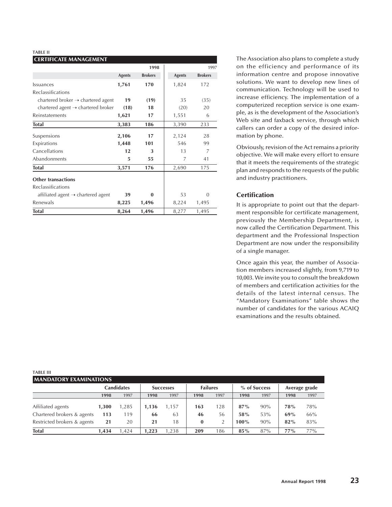#### **TABLE II**

## **CERTIFICATE MANAGEMENT 1998** 1997 Agents Brokers **Agents** Brokers Issuances **1,761 170** 1,824 172 Reclassifications chartered broker  $\rightarrow$  chartered agent **19** (19)  $\vert$  35 (35) chartered agent  $\rightarrow$  chartered broker **(18)** 18  $\vert$  (20) 20 Reinstatements **1,621** 17 1,551 6 **Total 3,383 186** 3,390 233 Suspensions **2,106** 17 2,124 28 Expirations **1,448 101** 546 99 Cancellations **12 13** 7 Abandonments **5** 55 7 41 **Total 3,571 176** 2,690 175 **Other transactions** Reclassifications affiliated agent  $\rightarrow$  chartered agent **39** 0 53 0 Renewals **8,225 1,496** 8,224 1,495 **Total** 8,264 1,496 | 8,277 1,495

The Association also plans to complete a study on the efficiency and performance of its information centre and propose innovative solutions. We want to develop new lines of communication. Technology will be used to increase efficiency. The implementation of a computerized reception service is one example, as is the development of the Association's Web site and faxback service, through which callers can order a copy of the desired information by phone.

Obviously, revision of the Act remains a priority objective. We will make every effort to ensure that it meets the requirements of the strategic plan and responds to the requests of the public and industry practitioners.

## **Certification**

It is appropriate to point out that the department responsible for certificate management, previously the Membership Department, is now called the Certification Department. This department and the Professional Inspection Department are now under the responsibility of a single manager.

Once again this year, the number of Association members increased slightly, from 9,719 to 10,003. We invite you to consult the breakdown of members and certification activities for the details of the latest internal census. The "Mandatory Examinations" table shows the number of candidates for the various ACAIQ examinations and the results obtained.

| .                             |       |                   |       |                  |                 |      |         |              |        |               |
|-------------------------------|-------|-------------------|-------|------------------|-----------------|------|---------|--------------|--------|---------------|
| <b>MANDATORY EXAMINATIONS</b> |       |                   |       |                  |                 |      |         |              |        |               |
|                               |       | <b>Candidates</b> |       | <b>Successes</b> | <b>Failures</b> |      |         | % of Success |        | Average grade |
|                               | 1998  | 1997              | 1998  | 1997             | 1998            | 1997 | 1998    | 1997         | 1998   | 1997          |
|                               |       |                   |       |                  |                 |      |         |              |        |               |
| Affiliated agents             | 1.300 | ,285              | 1,136 | ,157             | 163             | 128  | $87\%$  | 90%          | 78%    | 78%           |
| Chartered brokers & agents    | 113   | 119               | 66    | 63               | 46              | 56   | 58%     | 53%          | 69%    | 66%           |
| Restricted brokers & agents   | 21    | 20                | 21    | 18               | $\bf{0}$        |      | $100\%$ | 90%          | 82%    | 83%           |
| <b>Total</b>                  | 1.434 | .424              | 1.223 | .238             | 209             | 186  | $85\%$  | 87%          | $77\%$ | 77%           |

#### **TABLE III**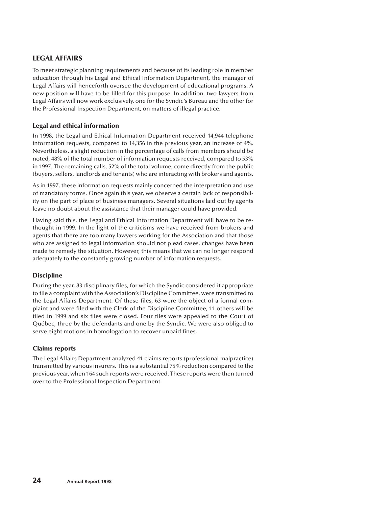## **LEGAL AFFAIRS**

To meet strategic planning requirements and because of its leading role in member education through his Legal and Ethical Information Department, the manager of Legal Affairs will henceforth oversee the development of educational programs. A new position will have to be filled for this purpose. In addition, two lawyers from Legal Affairs will now work exclusively, one for the Syndic's Bureau and the other for the Professional Inspection Department, on matters of illegal practice.

## **Legal and ethical information**

In 1998, the Legal and Ethical Information Department received 14,944 telephone information requests, compared to 14,356 in the previous year, an increase of 4%. Nevertheless, a slight reduction in the percentage of calls from members should be noted, 48% of the total number of information requests received, compared to 53% in 1997. The remaining calls, 52% of the total volume, come directly from the public (buyers, sellers, landlords and tenants) who are interacting with brokers and agents.

As in 1997, these information requests mainly concerned the interpretation and use of mandatory forms. Once again this year, we observe a certain lack of responsibility on the part of place of business managers. Several situations laid out by agents leave no doubt about the assistance that their manager could have provided.

Having said this, the Legal and Ethical Information Department will have to be rethought in 1999. In the light of the criticisms we have received from brokers and agents that there are too many lawyers working for the Association and that those who are assigned to legal information should not plead cases, changes have been made to remedy the situation. However, this means that we can no longer respond adequately to the constantly growing number of information requests.

## **Discipline**

During the year, 83 disciplinary files, for which the Syndic considered it appropriate to file a complaint with the Association's Discipline Committee, were transmitted to the Legal Affairs Department. Of these files, 63 were the object of a formal complaint and were filed with the Clerk of the Discipline Committee, 11 others will be filed in 1999 and six files were closed. Four files were appealed to the Court of Québec, three by the defendants and one by the Syndic. We were also obliged to serve eight motions in homologation to recover unpaid fines.

## **Claims reports**

The Legal Affairs Department analyzed 41 claims reports (professional malpractice) transmitted by various insurers. This is a substantial 75% reduction compared to the previous year, when 164 such reports were received. These reports were then turned over to the Professional Inspection Department.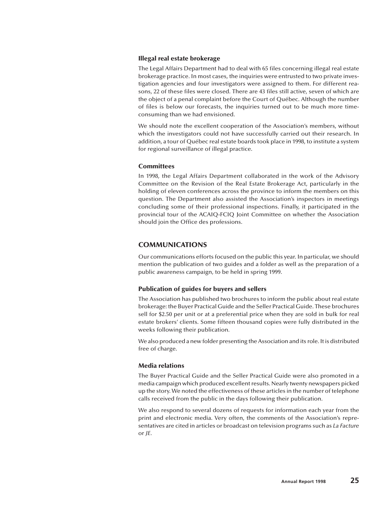#### **Illegal real estate brokerage**

The Legal Affairs Department had to deal with 65 files concerning illegal real estate brokerage practice. In most cases, the inquiries were entrusted to two private investigation agencies and four investigators were assigned to them. For different reasons, 22 of these files were closed. There are 43 files still active, seven of which are the object of a penal complaint before the Court of Québec. Although the number of files is below our forecasts, the inquiries turned out to be much more timeconsuming than we had envisioned.

We should note the excellent cooperation of the Association's members, without which the investigators could not have successfully carried out their research. In addition, a tour of Québec real estate boards took place in 1998, to institute a system for regional surveillance of illegal practice.

#### **Committees**

In 1998, the Legal Affairs Department collaborated in the work of the Advisory Committee on the Revision of the Real Estate Brokerage Act, particularly in the holding of eleven conferences across the province to inform the members on this question. The Department also assisted the Association's inspectors in meetings concluding some of their professional inspections. Finally, it participated in the provincial tour of the ACAIQ-FCIQ Joint Committee on whether the Association should join the Office des professions.

## **COMMUNICATIONS**

Our communications efforts focused on the public this year. In particular, we should mention the publication of two guides and a folder as well as the preparation of a public awareness campaign, to be held in spring 1999.

#### **Publication of guides for buyers and sellers**

The Association has published two brochures to inform the public about real estate brokerage: the Buyer Practical Guide and the Seller Practical Guide. These brochures sell for \$2.50 per unit or at a preferential price when they are sold in bulk for real estate brokers' clients. Some fifteen thousand copies were fully distributed in the weeks following their publication.

We also produced a new folder presenting the Association and its role. It is distributed free of charge.

#### **Media relations**

The Buyer Practical Guide and the Seller Practical Guide were also promoted in a media campaign which produced excellent results. Nearly twenty newspapers picked up the story. We noted the effectiveness of these articles in the number of telephone calls received from the public in the days following their publication.

We also respond to several dozens of requests for information each year from the print and electronic media. Very often, the comments of the Association's representatives are cited in articles or broadcast on television programs such as *La Facture* or *JE*.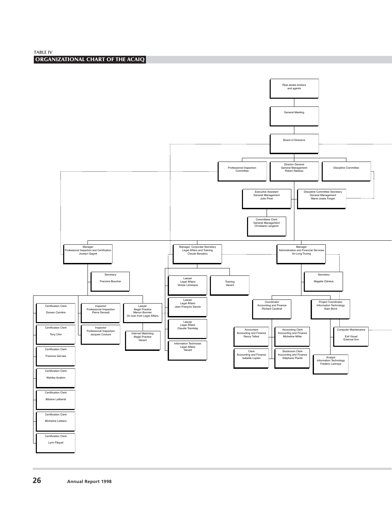

**ORGANIZATIONAL CHART OF THE ACAIQ**

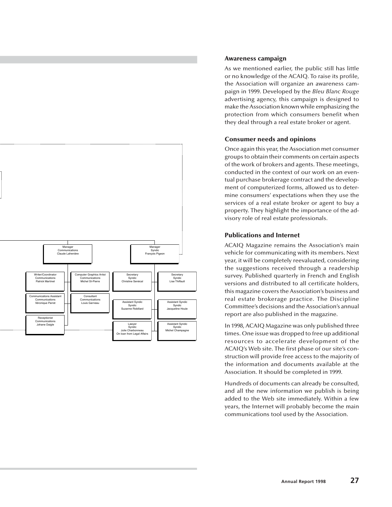

## **Awareness campaign**

As we mentioned earlier, the public still has little or no knowledge of the ACAIQ. To raise its profile, the Association will organize an awareness campaign in 1999. Developed by the *Bleu Blanc Rouge* advertising agency, this campaign is designed to make the Association known while emphasizing the protection from which consumers benefit when they deal through a real estate broker or agent.

## **Consumer needs and opinions**

Once again this year, the Association met consumer groups to obtain their comments on certain aspects of the work of brokers and agents. These meetings, conducted in the context of our work on an eventual purchase brokerage contract and the development of computerized forms, allowed us to determine consumers' expectations when they use the services of a real estate broker or agent to buy a property. They highlight the importance of the advisory role of real estate professionals.

## **Publications and Internet**

ACAIQ Magazine remains the Association's main vehicle for communicating with its members. Next year, it will be completely reevaluated, considering the suggestions received through a readership survey. Published quarterly in French and English versions and distributed to all certificate holders, this magazine covers the Association's business and real estate brokerage practice. The Discipline Committee's decisions and the Association's annual report are also published in the magazine.

In 1998, ACAIQ Magazine was only published three times. One issue was dropped to free up additional resources to accelerate development of the ACAIQ's Web site. The first phase of our site's construction will provide free access to the majority of the information and documents available at the Association. It should be completed in 1999.

Hundreds of documents can already be consulted, and all the new information we publish is being added to the Web site immediately. Within a few years, the Internet will probably become the main communications tool used by the Association.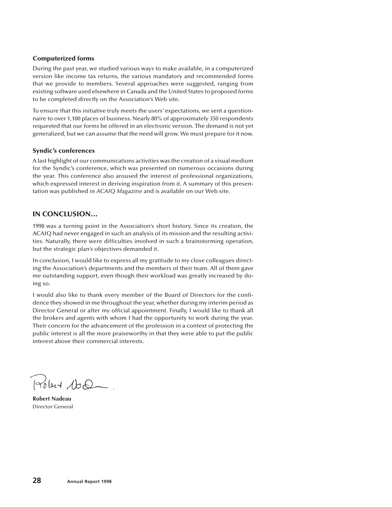## **Computerized forms**

During the past year, we studied various ways to make available, in a computerized version like income tax returns, the various mandatory and recommended forms that we provide to members. Several approaches were suggested, ranging from existing software used elsewhere in Canada and the United States to proposed forms to be completed directly on the Association's Web site.

To ensure that this initiative truly meets the users' expectations, we sent a questionnaire to over 1,100 places of business. Nearly 80% of approximately 350 respondents requested that our forms be offered in an electronic version. The demand is not yet generalized, but we can assume that the need will grow. We must prepare for it now.

## **Syndic's conferences**

A last highlight of our communications activities was the creation of a visual medium for the Syndic's conference, which was presented on numerous occasions during the year. This conference also aroused the interest of professional organizations, which expressed interest in deriving inspiration from it. A summary of this presentation was published in *ACAIQ Magazine* and is available on our Web site.

## **IN CONCLUSION…**

1998 was a turning point in the Association's short history. Since its creation, the ACAIQ had never engaged in such an analysis of its mission and the resulting activities. Naturally, there were difficulties involved in such a brainstorming operation, but the strategic plan's objectives demanded it.

In conclusion, I would like to express all my gratitude to my close colleagues directing the Association's departments and the members of their team. All of them gave me outstanding support, even though their workload was greatly increased by doing so.

I would also like to thank every member of the Board of Directors for the confidence they showed in me throughout the year, whether during my interim period as Director General or after my official appointment. Finally, I would like to thank all the brokers and agents with whom I had the opportunity to work during the year. Their concern for the advancement of the profession in a context of protecting the public interest is all the more praiseworthy in that they were able to put the public interest above their commercial interests.

Polent 100.

**Robert Nadeau** Director General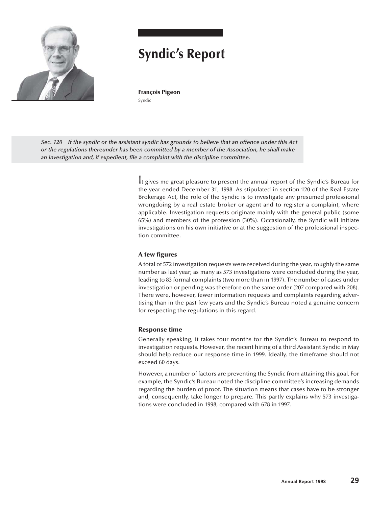

## **Syndic's Report**

**François Pigeon** Syndic

*Sec. 120 If the syndic or the assistant syndic has grounds to believe that an offence under this Act or the regulations thereunder has been committed by a member of the Association, he shall make an investigation and, if expedient, file a complaint with the discipline committee.*

> It gives me great pleasure to present the annual report of the Syndic's Bureau for the year ended December 31, 1998. As stipulated in section 120 of the Real Estate Brokerage Act, the role of the Syndic is to investigate any presumed professional wrongdoing by a real estate broker or agent and to register a complaint, where applicable. Investigation requests originate mainly with the general public (some 65%) and members of the profession (30%). Occasionally, the Syndic will initiate investigations on his own initiative or at the suggestion of the professional inspection committee.

#### **A few figures**

A total of 572 investigation requests were received during the year, roughly the same number as last year; as many as 573 investigations were concluded during the year, leading to 83 formal complaints (two more than in 1997). The number of cases under investigation or pending was therefore on the same order (207 compared with 208). There were, however, fewer information requests and complaints regarding advertising than in the past few years and the Syndic's Bureau noted a genuine concern for respecting the regulations in this regard.

#### **Response time**

Generally speaking, it takes four months for the Syndic's Bureau to respond to investigation requests. However, the recent hiring of a third Assistant Syndic in May should help reduce our response time in 1999. Ideally, the timeframe should not exceed 60 days.

However, a number of factors are preventing the Syndic from attaining this goal. For example, the Syndic's Bureau noted the discipline committee's increasing demands regarding the burden of proof. The situation means that cases have to be stronger and, consequently, take longer to prepare. This partly explains why 573 investigations were concluded in 1998, compared with 678 in 1997.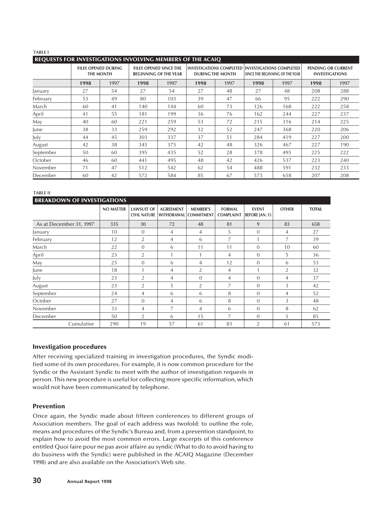#### **TABLE I**

#### **REQUESTS FOR INVESTIGATIONS INVOLVING MEMBERS OF THE ACAIQ**

|           |      | <b>FILES OPENED DURING</b><br><b>THE MONTH</b> |      | <b>FILES OPENED SINCE THE</b><br><b>BEGINNING OF THE YEAR</b> |      | <b>DURING THE MONTH</b> |      | <b>INVESTIGATIONS COMPLETED INVESTIGATIONS COMPLETED</b> |      | SINCE THE BEGINNING OF THE YEAR |  | PENDING OR CURRENT<br><b>INVESTIGATIONS</b> |
|-----------|------|------------------------------------------------|------|---------------------------------------------------------------|------|-------------------------|------|----------------------------------------------------------|------|---------------------------------|--|---------------------------------------------|
|           | 1998 | 1997                                           | 1998 | 1997                                                          | 1998 | 1997                    | 1998 | 1997                                                     | 1998 | 1997                            |  |                                             |
| January   | 27   | 54                                             | 27   | 54                                                            | 27   | 48                      | 27   | 48                                                       | 208  | 288                             |  |                                             |
| February  | 53   | 49                                             | 80   | 103                                                           | 39   | 47                      | 66   | 95                                                       | 222  | 290                             |  |                                             |
| March     | 60   | 41                                             | 140  | 144                                                           | 60   | 73                      | 126  | 168                                                      | 222  | 258                             |  |                                             |
| April     | 41   | 55                                             | 181  | 199                                                           | 36   | 76                      | 162  | 244                                                      | 227  | 237                             |  |                                             |
| May       | 40   | 60                                             | 221  | 259                                                           | 53   | 72                      | 215  | 316                                                      | 214  | 225                             |  |                                             |
| June      | 38   | 33                                             | 259  | 292                                                           | 32   | 52                      | 247  | 368                                                      | 220  | 206                             |  |                                             |
| July      | 44   | 45                                             | 303  | 337                                                           | 37   | 51                      | 284  | 419                                                      | 227  | 200                             |  |                                             |
| August    | 42   | 38                                             | 345  | 375                                                           | 42   | 48                      | 326  | 467                                                      | 227  | 190                             |  |                                             |
| September | 50   | 60                                             | 395  | 435                                                           | 52   | 28                      | 378  | 495                                                      | 225  | 222                             |  |                                             |
| October   | 46   | 60                                             | 441  | 495                                                           | 48   | 42                      | 426  | 537                                                      | 223  | 240                             |  |                                             |
| November  | 71   | 47                                             | 512  | 542                                                           | 62   | 54                      | 488  | 591                                                      | 232  | 233                             |  |                                             |
| December  | 60   | 42                                             | 572  | 584                                                           | 85   | 67                      | 573  | 658                                                      | 207  | 208                             |  |                                             |

#### **TABLE II**

| <b>BREAKDOWN OF INVESTIGATIONS</b> |                  |                                          |                                |                                      |                                   |                                       |                |              |
|------------------------------------|------------------|------------------------------------------|--------------------------------|--------------------------------------|-----------------------------------|---------------------------------------|----------------|--------------|
|                                    | <b>NO MATTER</b> | <b>LAWSUIT OF</b><br><b>CIVIL NATURE</b> | <b>AGREEMENT</b><br>WITHDRAWAL | <b>MEMBER'S</b><br><b>COMMITMENT</b> | <b>FORMAL</b><br><b>COMPLAINT</b> | <b>EVENT</b><br><b>BEFORE JAN. 15</b> | <b>OTHER</b>   | <b>TOTAL</b> |
| As at December 31, 1997            | 335              | 30                                       | 72                             | 48                                   | 81                                | 9                                     | 83             | 658          |
| January                            | 10               | $\Omega$                                 | 4                              | 4                                    | 5                                 | $\Omega$                              | 4              | 27           |
| February                           | 12               | $\overline{2}$                           | $\overline{4}$                 | 6                                    | $\overline{7}$                    |                                       | $\overline{7}$ | 39           |
| March                              | 22               | $\Omega$                                 | 6                              | 11                                   | 11                                | $\Omega$                              | 10             | 60           |
| April                              | 23               | 2                                        |                                | 1                                    | 4                                 | $\Omega$                              | 5              | 36           |
| May                                | 25               | $\theta$                                 | 6                              | $\overline{4}$                       | 12                                | $\theta$                              | 6              | 53           |
| June                               | 18               |                                          | 4                              | 2                                    | $\overline{4}$                    |                                       | 2              | 32           |
| July                               | 23               | 2                                        | 4                              | $\theta$                             | 4                                 | $\Omega$                              | 4              | 37           |
| August                             | 23               | $\overline{2}$                           | 5                              | $\overline{2}$                       | 7                                 | $\Omega$                              | 3              | 42           |
| September                          | 24               | 4                                        | 6                              | 6                                    | 8                                 | $\Omega$                              | 4              | 52           |
| October                            | 27               | $\Omega$                                 | 4                              | 6                                    | 8                                 | $\Omega$                              | 3              | 48           |
| November                           | 33               | 4                                        | 7                              | 4                                    | 6                                 | $\theta$                              | 8              | 62           |
| December                           | 50               | 2                                        | 6                              | 15                                   | 7                                 | $\Omega$                              | 5              | 85           |
| Cumulative                         | 290              | 19                                       | 57                             | 61                                   | 83                                | 2                                     | 61             | 573          |

#### **Investigation procedures**

After receiving specialized training in investigation procedures, the Syndic modified some of its own procedures. For example, it is now common procedure for the Syndic or the Assistant Syndic to meet with the author of investigation requests in person. This new procedure is useful for collecting more specific information, which would not have been communicated by telephone.

#### **Prevention**

Once again, the Syndic made about fifteen conferences to different groups of Association members. The goal of each address was twofold: to outline the role, means and procedures of the Syndic's Bureau and, from a prevention standpoint, to explain how to avoid the most common errors. Large excerpts of this conference entitled Quoi faire pour ne pas avoir affaire au syndic (What to do to avoid having to do business with the Syndic) were published in the ACAIQ Magazine (December 1998) and are also available on the Association's Web site.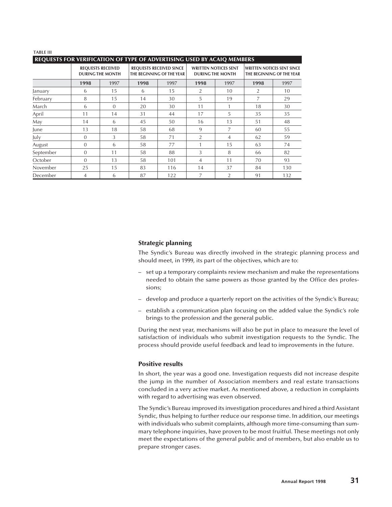#### **TABLE III**

#### **REQUESTS FOR VERIFICATION OF TYPE OF ADVERTISING USED BY ACAIQ MEMBERS**

|           |                | <b>REQUESTS RECEIVED</b><br><b>DURING THE MONTH</b> | <b>REQUESTS RECEIVED SINCE</b><br>THE BEGINNING OF THE YEAR |      | <b>WRITTEN NOTICES SENT</b><br><b>DURING THE MONTH</b> |                | <b>WRITTEN NOTICES SENT SINCE</b><br>THE BEGINNING OF THE YEAR |      |
|-----------|----------------|-----------------------------------------------------|-------------------------------------------------------------|------|--------------------------------------------------------|----------------|----------------------------------------------------------------|------|
|           | 1998           | 1997                                                | 1998                                                        | 1997 | 1998                                                   | 1997           | 1998                                                           | 1997 |
| January   | 6              | 15                                                  | 6                                                           | 15   | 2                                                      | 10             | $\overline{2}$                                                 | 10   |
| February  | 8              | 15                                                  | 14                                                          | 30   | 5                                                      | 19             | 7                                                              | 29   |
| March     | 6              | $\Omega$                                            | 20                                                          | 30   | 11                                                     |                | 18                                                             | 30   |
| April     | 11             | 14                                                  | 31                                                          | 44   | 17                                                     | 5              | 35                                                             | 35   |
| May       | 14             | 6                                                   | 45                                                          | 50   | 16                                                     | 13             | 51                                                             | 48   |
| June      | 13             | 18                                                  | 58                                                          | 68   | 9                                                      | 7              | 60                                                             | 55   |
| July      | $\theta$       | 3                                                   | 58                                                          | 71   | 2                                                      | 4              | 62                                                             | 59   |
| August    | $\theta$       | 6                                                   | 58                                                          | 77   |                                                        | 15             | 63                                                             | 74   |
| September | $\theta$       | 11                                                  | 58                                                          | 88   | 3                                                      | 8              | 66                                                             | 82   |
| October   | $\theta$       | 13                                                  | 58                                                          | 101  | 4                                                      | 11             | 70                                                             | 93   |
| November  | 25             | 15                                                  | 83                                                          | 116  | 14                                                     | 37             | 84                                                             | 130  |
| December  | $\overline{4}$ | 6                                                   | 87                                                          | 122  | 7                                                      | $\overline{2}$ | 91                                                             | 132  |

#### **Strategic planning**

The Syndic's Bureau was directly involved in the strategic planning process and should meet, in 1999, its part of the objectives, which are to:

- set up a temporary complaints review mechanism and make the representations needed to obtain the same powers as those granted by the Office des professions;
- develop and produce a quarterly report on the activities of the Syndic's Bureau;
- establish a communication plan focusing on the added value the Syndic's role brings to the profession and the general public.

During the next year, mechanisms will also be put in place to measure the level of satisfaction of individuals who submit investigation requests to the Syndic. The process should provide useful feedback and lead to improvements in the future.

#### **Positive results**

In short, the year was a good one. Investigation requests did not increase despite the jump in the number of Association members and real estate transactions concluded in a very active market. As mentioned above, a reduction in complaints with regard to advertising was even observed.

The Syndic's Bureau improved its investigation procedures and hired a third Assistant Syndic, thus helping to further reduce our response time. In addition, our meetings with individuals who submit complaints, although more time-consuming than summary telephone inquiries, have proven to be most fruitful. These meetings not only meet the expectations of the general public and of members, but also enable us to prepare stronger cases.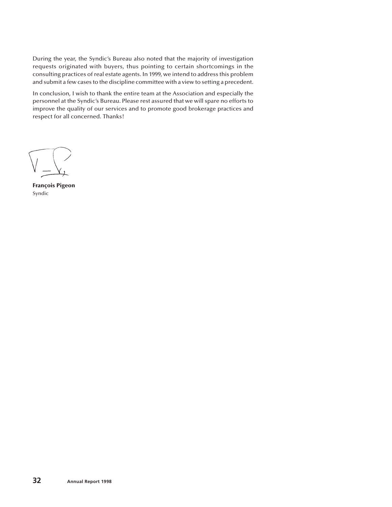During the year, the Syndic's Bureau also noted that the majority of investigation requests originated with buyers, thus pointing to certain shortcomings in the consulting practices of real estate agents. In 1999, we intend to address this problem and submit a few cases to the discipline committee with a view to setting a precedent.

In conclusion, I wish to thank the entire team at the Association and especially the personnel at the Syndic's Bureau. Please rest assured that we will spare no efforts to improve the quality of our services and to promote good brokerage practices and respect for all concerned. Thanks!

**François Pigeon** Syndic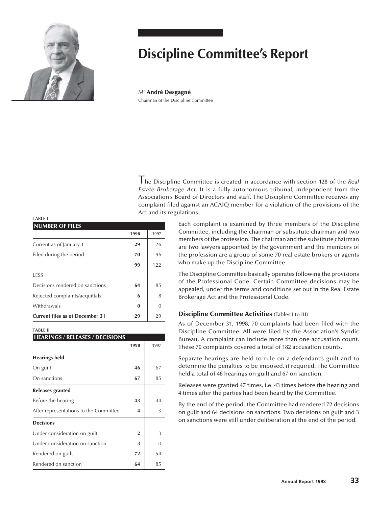

# **Discipline Committee's Report**

Me **André Desgagné** Chairman of the Discipline Committee

The Discipline Committee is created in accordance with section 128 of the *Real Estate Brokerage Act*. It is a fully autonomous tribunal, independent from the Association's Board of Directors and staff. The Discipline Committee receives any complaint filed against an ACAIQ member for a violation of the provisions of the Act and its regulations.

> Each complaint is examined by three members of the Discipline Committee, including the chairman or substitute chairman and two members of the profession. The chairman and the substitute chairman are two lawyers appointed by the government and the members of the profession are a group of some 70 real estate brokers or agents who make up the Discipline Committee.

> The Discipline Committee basically operates following the provisions of the Professional Code. Certain Committee decisions may be appealed, under the terms and conditions set out in the Real Estate Brokerage Act and the Professional Code.

## **Discipline Committee Activities** (Tables I to III)

As of December 31, 1998, 70 complaints had been filed with the Discipline Committee. All were filed by the Association's Syndic Bureau. A complaint can include more than one accusation count. These 70 complaints covered a total of 182 accusation counts.

Separate hearings are held to rule on a defendant's guilt and to determine the penalties to be imposed, if required. The Committee held a total of 46 hearings on guilt and 67 on sanction.

Releases were granted 47 times, i.e. 43 times before the hearing and 4 times after the parties had been heard by the Committee.

By the end of the period, the Committee had rendered 72 decisions on guilt and 64 decisions on sanctions. Two decisions on guilt and 3 on sanctions were still under deliberation at the end of the period.

#### **TABLE I**

| <b>NUMBER OF FILES</b>                 |          |      |
|----------------------------------------|----------|------|
|                                        | 1998     | 1997 |
| Current as of January 1                | 29       | 26   |
| Filed during the period                | 70       | 96   |
|                                        | 99       | 122  |
| <b>LESS</b>                            |          |      |
| Decisions rendered on sanctions        | 64       | 85   |
| Rejected complaints/acquittals         | 6        | 8    |
| Withdrawals                            | $\bf{0}$ | 0    |
| <b>Current files as of December 31</b> | 29       | 29   |

#### **TABLE II**

| <b>HEARINGS / RELEASES / DECISIONS</b> |                |          |  |  |  |
|----------------------------------------|----------------|----------|--|--|--|
|                                        | 1998           | 1997     |  |  |  |
| <b>Hearings held</b>                   |                |          |  |  |  |
| On guilt                               | 46             | 67       |  |  |  |
| On sanctions                           | 67             | 85       |  |  |  |
| Releases granted                       |                |          |  |  |  |
| Before the hearing                     | 43             | 44       |  |  |  |
| After representations to the Committee | 4              | 3        |  |  |  |
| <b>Decisions</b>                       |                |          |  |  |  |
| Under consideration on guilt           | $\overline{2}$ | 3        |  |  |  |
| Under consideration on sanction        | 3              | $\Omega$ |  |  |  |
| Rendered on guilt                      | 72             | 54       |  |  |  |
| Rendered on sanction                   | 64             | 85       |  |  |  |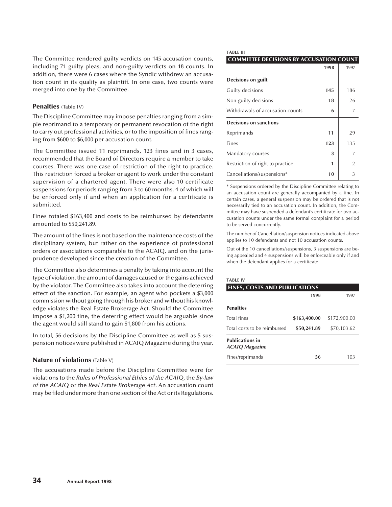The Committee rendered guilty verdicts on 145 accusation counts, including 71 guilty pleas, and non-guilty verdicts on 18 counts. In addition, there were 6 cases where the Syndic withdrew an accusation count in its quality as plaintiff. In one case, two counts were merged into one by the Committee.

#### **Penalties** (Table IV)

The Discipline Committee may impose penalties ranging from a simple reprimand to a temporary or permanent revocation of the right to carry out professional activities, or to the imposition of fines ranging from \$600 to \$6,000 per accusation count.

The Committee issued 11 reprimands, 123 fines and in 3 cases, recommended that the Board of Directors require a member to take courses. There was one case of restriction of the right to practice. This restriction forced a broker or agent to work under the constant supervision of a chartered agent. There were also 10 certificate suspensions for periods ranging from 3 to 60 months, 4 of which will be enforced only if and when an application for a certificate is submitted.

Fines totaled \$163,400 and costs to be reimbursed by defendants amounted to \$50,241.89.

The amount of the fines is not based on the maintenance costs of the disciplinary system, but rather on the experience of professional orders or associations comparable to the ACAIQ, and on the jurisprudence developed since the creation of the Committee.

The Committee also determines a penalty by taking into account the type of violation, the amount of damages caused or the gains achieved by the violator. The Committee also takes into account the deterring effect of the sanction. For example, an agent who pockets a \$3,000 commission without going through his broker and without his knowledge violates the Real Estate Brokerage Act. Should the Committee impose a \$1,200 fine, the deterring effect would be arguable since the agent would still stand to gain \$1,800 from his actions.

In total, 56 decisions by the Discipline Committee as well as 5 suspension notices were published in ACAIQ Magazine during the year.

## **Nature of violations** (Table V)

The accusations made before the Discipline Committee were for violations to the *Rules of Professional Ethics of the ACAIQ*, the *By-law of the ACAIQ* or the *Real Estate Brokerage Act*. An accusation count may be filed under more than one section of the Act or its Regulations.

#### **TABLE III**

#### **COMMITTEE DECISIONS BY ACCUSATION COUNT**

|                                  | 1998 | 1997           |
|----------------------------------|------|----------------|
| Decisions on guilt               |      |                |
| Guilty decisions                 | 145  | 186            |
| Non-guilty decisions             | 18   | 26             |
| Withdrawals of accusation counts | 6    | 7              |
| <b>Decisions on sanctions</b>    |      |                |
| Reprimands                       | 11   | 29             |
| Fines                            | 123  | 135            |
| Mandatory courses                | 3    | 7              |
| Restriction of right to practice | 1    | $\overline{2}$ |
| Cancellations/suspensions*       | 10   | 3              |

\* Suspensions ordered by the Discipline Committee relating to an accusation count are generally accompanied by a fine. In certain cases, a general suspension may be ordered that is not necessarily tied to an accusation count. In addition, the Committee may have suspended a defendant's certificate for two accusation counts under the same formal complaint for a period to be served concurrently.

The number of Cancellation/suspension notices indicated above applies to 10 defendants and not 10 accusation counts.

Out of the 10 cancellations/suspensions, 3 suspensions are being appealed and 4 suspensions will be enforceable only if and when the defendant applies for a certificate.

#### **TABLE IV**

| <b>FINES, COSTS AND PUBLICATIONS</b>            |              |              |  |  |  |
|-------------------------------------------------|--------------|--------------|--|--|--|
|                                                 | 1998         | 1997         |  |  |  |
| <b>Penalties</b>                                |              |              |  |  |  |
| <b>Total fines</b>                              | \$163,400.00 | \$172,900.00 |  |  |  |
| Total costs to be reimbursed                    | \$50,241.89  | \$70,103.62  |  |  |  |
| <b>Publications in</b><br><b>ACAIQ Magazine</b> |              |              |  |  |  |
| Fines/reprimands                                | 56           | 103          |  |  |  |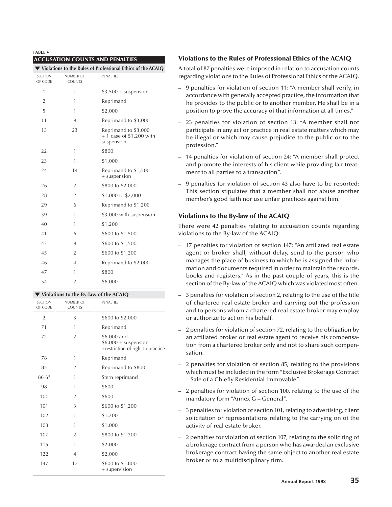| <b>TABLE V</b>                         |                            |                                                                 |  |  |
|----------------------------------------|----------------------------|-----------------------------------------------------------------|--|--|
| <b>ACCUSATION COUNTS AND PENALTIES</b> |                            |                                                                 |  |  |
|                                        |                            | Violations to the Rules of Professional Ethics of the ACAIQ     |  |  |
| <b>SECTION</b><br>OF CODE              | NUMBER OF<br><b>COUNTS</b> | PENALTIES                                                       |  |  |
| 1                                      | 1                          | $$3,500 +$ suspension                                           |  |  |
| $\overline{2}$                         | 1                          | Reprimand                                                       |  |  |
| 5                                      | 1                          | \$2,000                                                         |  |  |
| 11                                     | 9                          | Reprimand to \$3,000                                            |  |  |
| 13                                     | 23                         | Reprimand to \$3,000<br>$+1$ case of \$1,200 with<br>suspension |  |  |
| 22                                     | 1                          | \$800                                                           |  |  |
| 23                                     | 1                          | \$1,000                                                         |  |  |
| 24                                     | 14                         | Reprimand to \$1,500<br>+ suspension                            |  |  |
| 26                                     | $\overline{2}$             | \$800 to \$2,000                                                |  |  |
| 28                                     | $\overline{2}$             | \$1,000 to \$2,000                                              |  |  |
| 29                                     | 6                          | Reprimand to \$1,200                                            |  |  |
| 39                                     | 1                          | \$3,000 with suspension                                         |  |  |
| 40                                     | $\mathbf{1}$               | \$1,200                                                         |  |  |
| 41                                     | 6                          | \$600 to \$1,500                                                |  |  |
| 43                                     | 9                          | \$600 to \$1,500                                                |  |  |
| 45                                     | $\overline{2}$             | \$600 to \$1,200                                                |  |  |
| 46                                     | $\overline{4}$             | Reprimand to \$2,000                                            |  |  |
| 47                                     | 1                          | \$800                                                           |  |  |

## 54 2 \$6,000 **Violations to the By-law of the ACAIQ**

| <b>SECTION</b><br>OF CODE | NUMBER OF<br><b>COUNTS</b> | PENALTIES                                                                  |
|---------------------------|----------------------------|----------------------------------------------------------------------------|
| $\overline{2}$            | 3                          | \$600 to \$2,000                                                           |
| 71                        | 1                          | Reprimand                                                                  |
| 72                        | $\overline{2}$             | \$6,000 and<br>$$6,000 + suspension$<br>+ restriction of right to practice |
| 78                        | 1                          | Reprimand                                                                  |
| 85                        | $\overline{2}$             | Reprimand to \$800                                                         |
| 86 6°                     | 1                          | Stern reprimand                                                            |
| 98                        | 1                          | \$600                                                                      |
| 100                       | 2                          | \$600                                                                      |
| 101                       | 3                          | \$600 to \$1,200                                                           |
| 102                       | 1                          | \$1,200                                                                    |
| 103                       | 1                          | \$1,000                                                                    |
| 107                       | $\overline{2}$             | \$800 to \$1,200                                                           |
| 115                       | 1                          | \$2,000                                                                    |
| 122                       | 4                          | \$2,000                                                                    |
| 147                       | 17                         | \$600 to \$1,800<br>+ supervision                                          |

## **Violations to the Rules of Professional Ethics of the ACAIQ**

A total of 87 penalties were imposed in relation to accusation counts regarding violations to the Rules of Professional Ethics of the ACAIQ.

- 9 penalties for violation of section 11: "A member shall verify, in accordance with generally accepted practice, the information that he provides to the public or to another member. He shall be in a position to prove the accuracy of that information at all times."
- 23 penalties for violation of section 13: "A member shall not participate in any act or practice in real estate matters which may be illegal or which may cause prejudice to the public or to the profession."
- 14 penalties for violation of section 24: "A member shall protect and promote the interests of his client while providing fair treatment to all parties to a transaction".
- 9 penalties for violation of section 43 also have to be reported: This section stipulates that a member shall not abuse another member's good faith nor use unfair practices against him.

## **Violations to the By-law of the ACAIQ**

There were 42 penalties relating to accusation counts regarding violations to the By-law of the ACAIQ:

- 17 penalties for violation of section 147: "An affiliated real estate agent or broker shall, without delay, send to the person who manages the place of business to which he is assigned the information and documents required in order to maintain the records, books and registers." As in the past couple of years, this is the section of the By-law of the ACAIQ which was violated most often.
- 3 penalties for violation of section 2, relating to the use of the title of chartered real estate broker and carrying out the profession and to persons whom a chartered real estate broker may employ or authorize to act on his behalf.
- 2 penalties for violation of section 72, relating to the obligation by an affiliated broker or real estate agent to receive his compensation from a chartered broker only and not to share such compensation.
- 2 penalties for violation of section 85, relating to the provisions which must be included in the form "Exclusive Brokerage Contract – Sale of a Chiefly Residential Immovable".
- 2 penalties for violation of section 100, relating to the use of the mandatory form "Annex G – General".
- 3 penalties for violation of section 101, relating to advertising, client solicitation or representations relating to the carrying on of the activity of real estate broker.
- 2 penalties for violation of section 107, relating to the soliciting of a brokerage contract from a person who has awarded an exclusive brokerage contract having the same object to another real estate broker or to a multidisciplinary firm.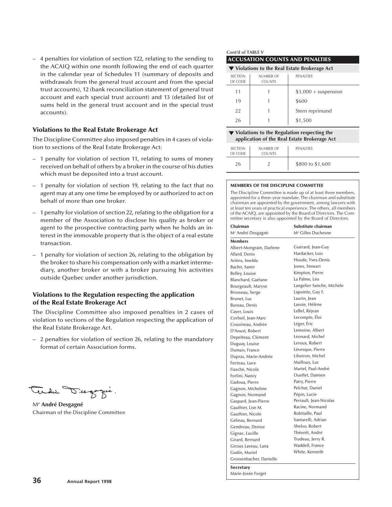– 4 penalties for violation of section 122, relating to the sending to the ACAIQ within one month following the end of each quarter in the calendar year of Schedules 11 (summary of deposits and withdrawals from the general trust account and from the special trust accounts), 12 (bank reconciliation statement of general trust account and each special trust account) and 13 (detailed list of sums held in the general trust account and in the special trust accounts).

## **Violations to the Real Estate Brokerage Act**

The Discipline Committee also imposed penalties in 4 cases of violation to sections of the Real Estate Brokerage Act:

- 1 penalty for violation of section 11, relating to sums of money received on behalf of others by a broker in the course of his duties which must be deposited into a trust account.
- 1 penalty for violation of section 19, relating to the fact that no agent may at any one time be employed by or authorized to act on behalf of more than one broker.
- 1 penalty for violation of section 22, relating to the obligation for a member of the Association to disclose his quality as broker or agent to the prospective contracting party when he holds an interest in the immovable property that is the object of a real estate transaction.
- 1 penalty for violation of section 26, relating to the obligation by the broker to share his compensation only with a market intermediary, another broker or with a broker pursuing his activities outside Quebec under another jurisdiction.

## **Violations to the Regulation respecting the application of the Real Estate Brokerage Act**

The Discipline Committee also imposed penalties in 2 cases of violation to sections of the Regulation respecting the application of the Real Estate Brokerage Act.

– 2 penalties for violation of section 26, relating to the mandatory format of certain Association forms.

Me **André Desgagné** Chairman of the Discipline Committee

#### **Cont'd of TABLE V ACCUSATION COUNTS AND PENALTIES**

| $\blacktriangledown$ Violations to the Real Estate Brokerage Act |                                   |                       |  |  |
|------------------------------------------------------------------|-----------------------------------|-----------------------|--|--|
| <b>SECTION</b><br>OF CODE                                        | <b>NUMBER OF</b><br><b>COUNTS</b> | <b>PENALTIES</b>      |  |  |
| 11                                                               |                                   | $$3,000 +$ suspension |  |  |
| 19                                                               |                                   | \$600                 |  |  |
| 22                                                               |                                   | Stern reprimand       |  |  |
| 26                                                               |                                   | \$1,500               |  |  |

#### **Violations to the Regulation respecting the application of the Real Estate Brokerage Act**

| <b>SECTION</b><br>OF CODE | <b>NUMBER OF</b><br><b>COUNTS</b> | PENALTIES        |
|---------------------------|-----------------------------------|------------------|
| 26                        |                                   | \$800 to \$1,600 |

#### **MEMBERS OF THE DISCIPLINE COMMITTEE**

The Discipline Committee is made up of at least three members, appointed for a three-year mandate. The chairman and substitute chairman are appointed by the government, among lawyers with at least ten years of practical experience. The others, all members of the ACAIQ, are appointed by the Board of Directors. The Committee secretary is also appointed by the Board of Directors.

| Chairman                      | Substitute chairman            |
|-------------------------------|--------------------------------|
| M <sup>e</sup> André Desgagné | M <sup>e</sup> Gilles Duchesne |
| <b>Members</b>                |                                |
| Albert-Mongrain, Darlene      | Guérard, Jean-Guy              |
| Allard, Denis                 | Hardacker, Lois                |
| Ariëns, Imelda                | Houde, Yves-Denis              |
| Bachir, Samir                 | Jones, Stewart                 |
| Belley, Louise                | Kimpton, Pierre                |
| Blanchard, Gaétane            | La Palme, Léo                  |
| Bourgeault, Maryse            | Langelier Sanche, Michèle      |
| Brosseau, Serge               | Lapointe, Guy F.               |
| Brunet, Luc                   | Laurin, lean                   |
| Bureau, Denis                 | Lavoie, Hélène                 |
| Cayer, Louis                  | LeBel, Réjean                  |
| Corbeil, Jean-Marc            | Lecompte, Éloi                 |
| Cousineau, Andrée             | Léger, Éric                    |
| D'Aoust, Robert               | Lemoine, Albert                |
| Depelteau, Clément            | Léonard, Michel                |
| Duguay, Louise                | Leroux, Robert                 |
| Dumais, France                | Lévesque, Pierre               |
| Dupras, Marie-Andrée          | Liboiron, Michel               |
| Fecteau, Luce                 | Mailloux, Luc                  |
| Fiasché, Nicola               | Martel, Paul-André             |
| Forlini, Nancy                | <b>Ouellet</b> , Damien        |
| Gadoua, Pierre                | Patry, Pierre                  |
| Gagnon, Micheline             | Pelchat, Daniel                |
| Gagnon, Normand               | Pépin, Lucie                   |
| Gaspard, Jean-Pierre          | Perrault, Jean-Nicolas         |
| Gauthier, Lise M.             | Racine, Normand                |
| Gauthier, Nicole              | Robitaille, Paul               |
| Gélinas, Bernard              | Santarelli, Adrian             |
| Gendreau, Denise              | Shelso, Robert                 |
| Gignac, Lucille               | Théorêt, André                 |
| Girard, Bernard               | Trudeau, Jerry R.              |
| Giroux Laveau, Lana           | Waddell, France                |
| Godin, Muriel                 | White, Kenneth                 |
| Grossenbacher, Danielle       |                                |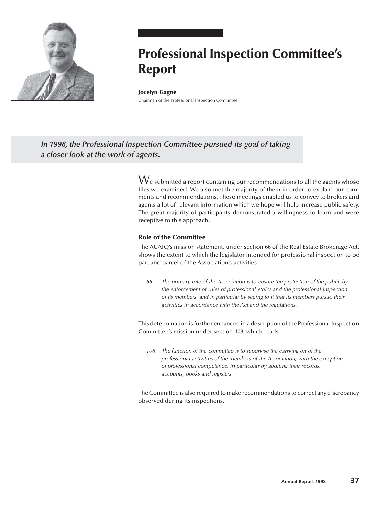

# **Professional Inspection Committee's Report**

#### **Jocelyn Gagné**

Chairman of the Professional Inspection Committee

*In 1998, the Professional Inspection Committee pursued its goal of taking a closer look at the work of agents.*

> $\operatorname{\mathsf{W}}$ e submitted a report containing our recommendations to all the agents whose files we examined. We also met the majority of them in order to explain our comments and recommendations. These meetings enabled us to convey to brokers and agents a lot of relevant information which we hope will help increase public safety. The great majority of participants demonstrated a willingness to learn and were receptive to this approach.

## **Role of the Committee**

The ACAIQ's mission statement, under section 66 of the Real Estate Brokerage Act, shows the extent to which the legislator intended for professional inspection to be part and parcel of the Association's activities:

66. The primary role of the Association is to ensure the protection of the public by the enforcement of rules of professional ethics and the professional inspection of its members, and in particular by seeing to it that its members pursue their activities in accordance with the Act and the regulations.

This determination is further enhanced in a description of the Professional Inspection Committee's mission under section 108, which reads:

108. The function of the committee is to supervise the carrying on of the professional activities of the members of the Association, with the exception of professional competence, in particular by auditing their records, accounts, books and registers.

The Committee is also required to make recommendations to correct any discrepancy observed during its inspections.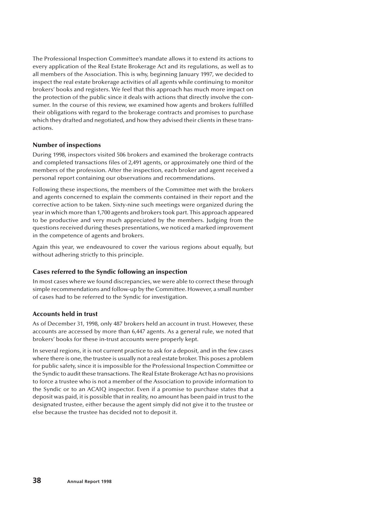The Professional Inspection Committee's mandate allows it to extend its actions to every application of the Real Estate Brokerage Act and its regulations, as well as to all members of the Association. This is why, beginning January 1997, we decided to inspect the real estate brokerage activities of all agents while continuing to monitor brokers' books and registers. We feel that this approach has much more impact on the protection of the public since it deals with actions that directly involve the consumer. In the course of this review, we examined how agents and brokers fulfilled their obligations with regard to the brokerage contracts and promises to purchase which they drafted and negotiated, and how they advised their clients in these transactions.

## **Number of inspections**

During 1998, inspectors visited 506 brokers and examined the brokerage contracts and completed transactions files of 2,491 agents, or approximately one third of the members of the profession. After the inspection, each broker and agent received a personal report containing our observations and recommendations.

Following these inspections, the members of the Committee met with the brokers and agents concerned to explain the comments contained in their report and the corrective action to be taken. Sixty-nine such meetings were organized during the year in which more than 1,700 agents and brokers took part. This approach appeared to be productive and very much appreciated by the members. Judging from the questions received during theses presentations, we noticed a marked improvement in the competence of agents and brokers.

Again this year, we endeavoured to cover the various regions about equally, but without adhering strictly to this principle.

## **Cases referred to the Syndic following an inspection**

In most cases where we found discrepancies, we were able to correct these through simple recommendations and follow-up by the Committee. However, a small number of cases had to be referred to the Syndic for investigation.

## **Accounts held in trust**

As of December 31, 1998, only 487 brokers held an account in trust. However, these accounts are accessed by more than 6,447 agents. As a general rule, we noted that brokers' books for these in-trust accounts were properly kept.

In several regions, it is not current practice to ask for a deposit, and in the few cases where there is one, the trustee is usually not a real estate broker. This poses a problem for public safety, since it is impossible for the Professional Inspection Committee or the Syndic to audit these transactions. The Real Estate Brokerage Act has no provisions to force a trustee who is not a member of the Association to provide information to the Syndic or to an ACAIQ inspector. Even if a promise to purchase states that a deposit was paid, it is possible that in reality, no amount has been paid in trust to the designated trustee, either because the agent simply did not give it to the trustee or else because the trustee has decided not to deposit it.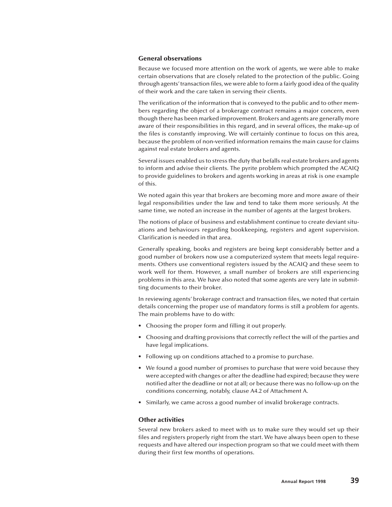#### **General observations**

Because we focused more attention on the work of agents, we were able to make certain observations that are closely related to the protection of the public. Going through agents' transaction files, we were able to form a fairly good idea of the quality of their work and the care taken in serving their clients.

The verification of the information that is conveyed to the public and to other members regarding the object of a brokerage contract remains a major concern, even though there has been marked improvement. Brokers and agents are generally more aware of their responsibilities in this regard, and in several offices, the make-up of the files is constantly improving. We will certainly continue to focus on this area, because the problem of non-verified information remains the main cause for claims against real estate brokers and agents.

Several issues enabled us to stress the duty that befalls real estate brokers and agents to inform and advise their clients. The pyrite problem which prompted the ACAIQ to provide guidelines to brokers and agents working in areas at risk is one example of this.

We noted again this year that brokers are becoming more and more aware of their legal responsibilities under the law and tend to take them more seriously. At the same time, we noted an increase in the number of agents at the largest brokers.

The notions of place of business and establishment continue to create deviant situations and behaviours regarding bookkeeping, registers and agent supervision. Clarification is needed in that area.

Generally speaking, books and registers are being kept considerably better and a good number of brokers now use a computerized system that meets legal requirements. Others use conventional registers issued by the ACAIQ and these seem to work well for them. However, a small number of brokers are still experiencing problems in this area. We have also noted that some agents are very late in submitting documents to their broker.

In reviewing agents' brokerage contract and transaction files, we noted that certain details concerning the proper use of mandatory forms is still a problem for agents. The main problems have to do with:

- Choosing the proper form and filling it out properly.
- Choosing and drafting provisions that correctly reflect the will of the parties and have legal implications.
- Following up on conditions attached to a promise to purchase.
- We found a good number of promises to purchase that were void because they were accepted with changes or after the deadline had expired; because they were notified after the deadline or not at all; or because there was no follow-up on the conditions concerning, notably, clause A4.2 of Attachment A.
- Similarly, we came across a good number of invalid brokerage contracts.

#### **Other activities**

Several new brokers asked to meet with us to make sure they would set up their files and registers properly right from the start. We have always been open to these requests and have altered our inspection program so that we could meet with them during their first few months of operations.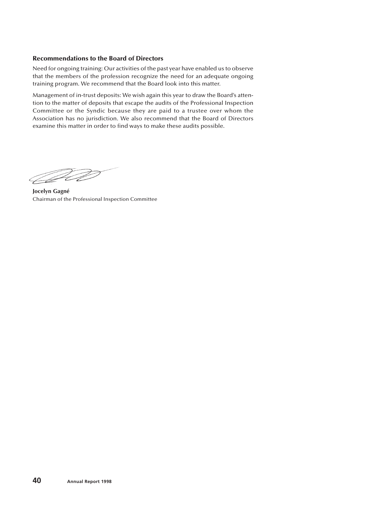## **Recommendations to the Board of Directors**

Need for ongoing training: Our activities of the past year have enabled us to observe that the members of the profession recognize the need for an adequate ongoing training program. We recommend that the Board look into this matter.

Management of in-trust deposits: We wish again this year to draw the Board's attention to the matter of deposits that escape the audits of the Professional Inspection Committee or the Syndic because they are paid to a trustee over whom the Association has no jurisdiction. We also recommend that the Board of Directors examine this matter in order to find ways to make these audits possible.

<u>Jan Sala</u>

**Jocelyn Gagné** Chairman of the Professional Inspection Committee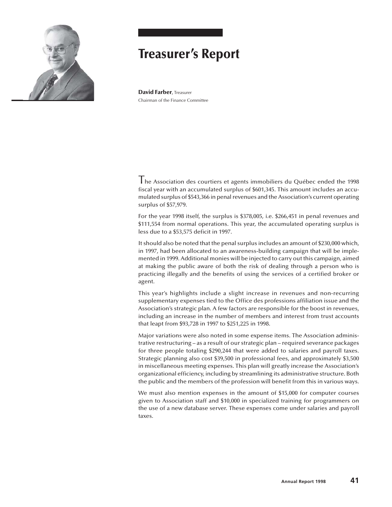

## **Treasurer's Report**

**David Farber**, Treasurer Chairman of the Finance Committee

Ine Association des courtiers et agents immobiliers du Québec ended the 1998 fiscal year with an accumulated surplus of \$601,345. This amount includes an accumulated surplus of \$543,366 in penal revenues and the Association's current operating surplus of \$57,979.

For the year 1998 itself, the surplus is \$378,005, i.e. \$266,451 in penal revenues and \$111,554 from normal operations. This year, the accumulated operating surplus is less due to a \$53,575 deficit in 1997.

It should also be noted that the penal surplus includes an amount of \$230,000 which, in 1997, had been allocated to an awareness-building campaign that will be implemented in 1999. Additional monies will be injected to carry out this campaign, aimed at making the public aware of both the risk of dealing through a person who is practicing illegally and the benefits of using the services of a certified broker or agent.

This year's highlights include a slight increase in revenues and non-recurring supplementary expenses tied to the Office des professions affiliation issue and the Association's strategic plan. A few factors are responsible for the boost in revenues, including an increase in the number of members and interest from trust accounts that leapt from \$93,728 in 1997 to \$251,225 in 1998.

Major variations were also noted in some expense items. The Association administrative restructuring – as a result of our strategic plan – required severance packages for three people totaling \$290,244 that were added to salaries and payroll taxes. Strategic planning also cost \$39,500 in professional fees, and approximately \$3,500 in miscellaneous meeting expenses. This plan will greatly increase the Association's organizational efficiency, including by streamlining its administrative structure. Both the public and the members of the profession will benefit from this in various ways.

We must also mention expenses in the amount of \$15,000 for computer courses given to Association staff and \$10,000 in specialized training for programmers on the use of a new database server. These expenses come under salaries and payroll taxes.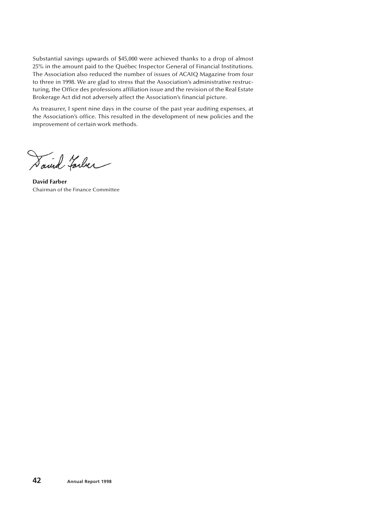Substantial savings upwards of \$45,000 were achieved thanks to a drop of almost 25% in the amount paid to the Québec Inspector General of Financial Institutions. The Association also reduced the number of issues of ACAIQ Magazine from four to three in 1998. We are glad to stress that the Association's administrative restructuring, the Office des professions affiliation issue and the revision of the Real Estate Brokerage Act did not adversely affect the Association's financial picture.

As treasurer, I spent nine days in the course of the past year auditing expenses, at the Association's office. This resulted in the development of new policies and the improvement of certain work methods.

Saind Farler

**David Farber** Chairman of the Finance Committee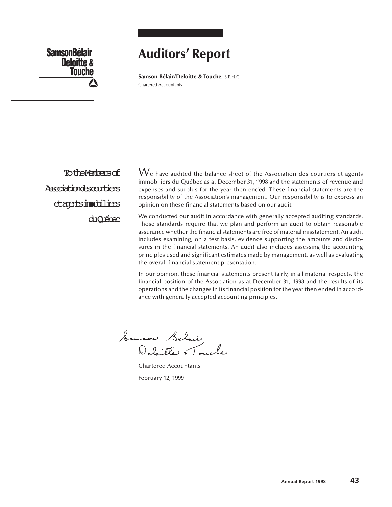**SamsonBélair Deloitte & Touche**

## **Auditors' Report**

**Samson Bélair/Deloitte & Touche**, S.E.N.C. Chartered Accountants

**TotheMembersof** Associationdescourtiers etagentsimmobiliers duQuébec  $\rm{W}_{e}$  have audited the balance sheet of the Association des courtiers et agents immobiliers du Québec as at December 31, 1998 and the statements of revenue and expenses and surplus for the year then ended. These financial statements are the responsibility of the Association's management. Our responsibility is to express an opinion on these financial statements based on our audit.

We conducted our audit in accordance with generally accepted auditing standards. Those standards require that we plan and perform an audit to obtain reasonable assurance whether the financial statements are free of material misstatement. An audit includes examining, on a test basis, evidence supporting the amounts and disclosures in the financial statements. An audit also includes assessing the accounting principles used and significant estimates made by management, as well as evaluating the overall financial statement presentation.

In our opinion, these financial statements present fairly, in all material respects, the financial position of the Association as at December 31, 1998 and the results of its operations and the changes in its financial position for the year then ended in accordance with generally accepted accounting principles.

Samson Sélair<br>Deloitte + Touche

Chartered Accountants February 12, 1999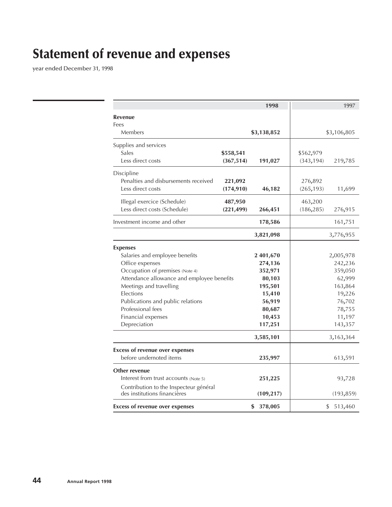# **Statement of revenue and expenses**

year ended December 31, 1998

|                                                                        |            | 1998              |            | 1997              |
|------------------------------------------------------------------------|------------|-------------------|------------|-------------------|
| <b>Revenue</b><br>Fees                                                 |            |                   |            |                   |
| Members                                                                |            | \$3,138,852       |            | \$3,106,805       |
| Supplies and services                                                  |            |                   |            |                   |
| Sales                                                                  | \$558,541  |                   | \$562,979  |                   |
| Less direct costs                                                      | (367, 514) | 191,027           | (343, 194) | 219,785           |
| Discipline                                                             |            |                   |            |                   |
| Penalties and disbursements received                                   | 221,092    |                   | 276,892    |                   |
| Less direct costs                                                      | (174, 910) | 46,182            | (265, 193) | 11,699            |
| Illegal exercice (Schedule)                                            | 487,950    |                   | 463,200    |                   |
| Less direct costs (Schedule)                                           | (221, 499) | 266,451           | (186, 285) | 276,915           |
| Investment income and other                                            |            | 178,586           |            | 161,751           |
|                                                                        |            | 3,821,098         |            | 3,776,955         |
| <b>Expenses</b>                                                        |            |                   |            |                   |
| Salaries and employee benefits                                         |            | 2 401,670         |            | 2,005,978         |
| Office expenses                                                        |            | 274,136           |            | 242,236           |
| Occupation of premises (Note 4)                                        |            | 352,971           |            | 359,050           |
| Attendance allowance and employee benefits                             |            | 80,103            |            | 62,999            |
| Meetings and travelling                                                |            | 195,501           |            | 163,864           |
| Elections                                                              |            | 15,410            |            | 19,226            |
| Publications and public relations                                      |            | 56,919            |            | 76,702            |
| Professional fees                                                      |            | 80,687            |            | 78,755            |
| Financial expenses<br>Depreciation                                     |            | 10,453<br>117,251 |            | 11,197<br>143,357 |
|                                                                        |            |                   |            |                   |
|                                                                        |            | 3,585,101         |            | 3,163,364         |
| <b>Excess of revenue over expenses</b>                                 |            |                   |            |                   |
| before undernoted items                                                |            | 235,997           |            | 613,591           |
| Other revenue                                                          |            |                   |            |                   |
| Interest from trust accounts (Note 5)                                  |            | 251,225           |            | 93,728            |
| Contribution to the Inspecteur général<br>des institutions financières |            | (109, 217)        |            | (193, 859)        |
| <b>Excess of revenue over expenses</b>                                 |            | 378,005<br>\$     |            | \$513,460         |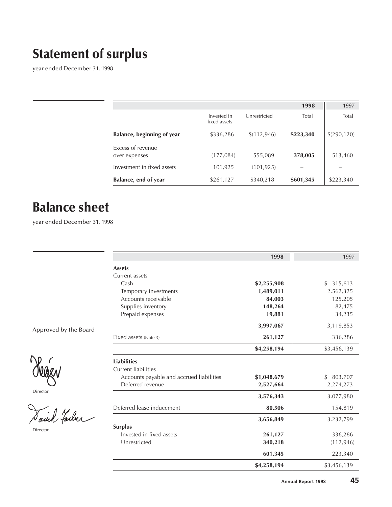# **Statement of surplus**

year ended December 31, 1998

|                                    |                             |              | 1998      | 1997         |
|------------------------------------|-----------------------------|--------------|-----------|--------------|
|                                    | Invested in<br>fixed assets | Unrestricted | Total     | Total        |
| Balance, beginning of year         | \$336,286                   | \$(112, 946) | \$223,340 | \$(290, 120) |
| Excess of revenue<br>over expenses | (177,084)                   | 555,089      | 378,005   | 513,460      |
| Investment in fixed assets         | 101,925                     | (101, 925)   |           |              |
| Balance, end of year               | \$261,127                   | \$340,218    | \$601,345 | \$223,340    |

# **Balance sheet**

year ended December 31, 1998

|                       |                                          | 1998        | 1997          |
|-----------------------|------------------------------------------|-------------|---------------|
|                       | <b>Assets</b>                            |             |               |
|                       | Current assets                           |             |               |
|                       | Cash                                     | \$2,255,908 | \$<br>315,613 |
|                       | Temporary investments                    | 1,489,011   | 2,562,325     |
|                       | Accounts receivable                      | 84,003      | 125,205       |
|                       | Supplies inventory                       | 148,264     | 82,475        |
|                       | Prepaid expenses                         | 19,881      | 34,235        |
| Approved by the Board |                                          | 3,997,067   | 3,119,853     |
|                       | Fixed assets (Note 3)                    | 261,127     | 336,286       |
|                       |                                          | \$4,258,194 | \$3,456,139   |
|                       | <b>Liabilities</b>                       |             |               |
|                       | <b>Current liabilities</b>               |             |               |
|                       | Accounts payable and accrued liabilities | \$1,048,679 | \$<br>803,707 |
|                       | Deferred revenue                         | 2,527,664   | 2,274,273     |
| Director              |                                          | 3,576,343   | 3,077,980     |
|                       | Deferred lease inducement                | 80,506      | 154,819       |
| d Tarber              |                                          | 3,656,849   | 3,232,799     |
| Director              | <b>Surplus</b>                           |             |               |
|                       | Invested in fixed assets                 | 261,127     | 336,286       |
|                       | Unrestricted                             | 340,218     | (112, 946)    |
|                       |                                          | 601,345     | 223,340       |
|                       |                                          | \$4,258,194 | \$3,456,139   |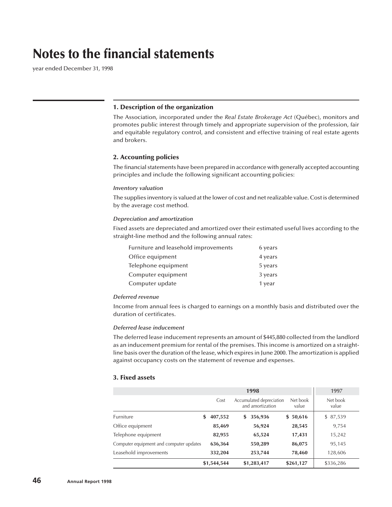## **Notes to the financial statements**

year ended December 31, 1998

#### **1. Description of the organization**

The Association, incorporated under the *Real Estate Brokerage Act* (Québec), monitors and promotes public interest through timely and appropriate supervision of the profession, fair and equitable regulatory control, and consistent and effective training of real estate agents and brokers.

#### **2. Accounting policies**

The financial statements have been prepared in accordance with generally accepted accounting principles and include the following significant accounting policies:

#### *Inventory valuation*

The supplies inventory is valued at the lower of cost and net realizable value. Cost is determined by the average cost method.

#### *Depreciation and amortization*

Fixed assets are depreciated and amortized over their estimated useful lives according to the straight-line method and the following annual rates:

| Furniture and leasehold improvements | 6 years |
|--------------------------------------|---------|
| Office equipment                     | 4 years |
| Telephone equipment                  | 5 years |
| Computer equipment                   | 3 years |
| Computer update                      | 1 year  |

#### *Deferred revenue*

Income from annual fees is charged to earnings on a monthly basis and distributed over the duration of certificates.

#### *Deferred lease inducement*

The deferred lease inducement represents an amount of \$445,880 collected from the landlord as an inducement premium for rental of the premises. This income is amortized on a straightline basis over the duration of the lease, which expires in June 2000. The amortization is applied against occupancy costs on the statement of revenue and expenses.

#### **3. Fixed assets**

| 1998                                    |             |                                              |                   | 1997              |
|-----------------------------------------|-------------|----------------------------------------------|-------------------|-------------------|
|                                         | Cost        | Accumulated depreciation<br>and amortization | Net book<br>value | Net book<br>value |
| <b>Furniture</b><br>\$                  | 407,552     | 356,936<br>\$                                | \$50,616          | \$87,539          |
| Office equipment                        | 85,469      | 56,924                                       | 28,545            | 9,754             |
| Telephone equipment                     | 82,955      | 65,524                                       | 17,431            | 15,242            |
| Computer equipment and computer updates | 636,364     | 550,289                                      | 86,075            | 95,145            |
| Leasehold improvements                  | 332,204     | 253,744                                      | 78,460            | 128,606           |
|                                         | \$1,544,544 | \$1,283,417                                  | \$261,127         | \$336,286         |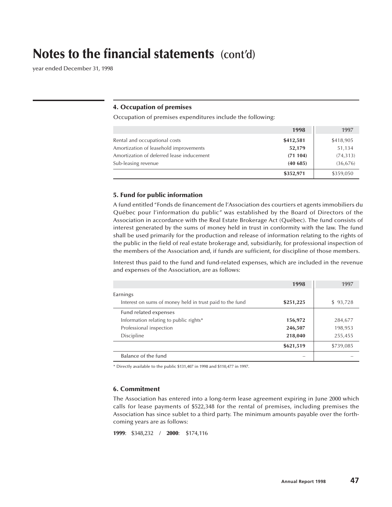## **Notes to the financial statements (cont'd)**

year ended December 31, 1998

#### **4. Occupation of premises**

Occupation of premises expenditures include the following:

|                                           | 1998      | 1997      |
|-------------------------------------------|-----------|-----------|
| Rental and occupational costs             | \$412,581 | \$418,905 |
| Amortization of leasehold improvements    | 52,179    | 51,134    |
| Amortization of deferred lease inducement | (71104)   | (74, 313) |
| Sub-leasing revenue                       | (40685)   | (36, 676) |
|                                           | \$352,971 | \$359,050 |

#### **5. Fund for public information**

A fund entitled "Fonds de financement de l'Association des courtiers et agents immobiliers du Québec pour l'information du public" was established by the Board of Directors of the Association in accordance with the Real Estate Brokerage Act (Québec). The fund consists of interest generated by the sums of money held in trust in conformity with the law. The fund shall be used primarily for the production and release of information relating to the rights of the public in the field of real estate brokerage and, subsidiarily, for professional inspection of the members of the Association and, if funds are sufficient, for discipline of those members.

Interest thus paid to the fund and fund-related expenses, which are included in the revenue and expenses of the Association, are as follows:

|                                                          | 1998      | 1997      |
|----------------------------------------------------------|-----------|-----------|
| Earnings                                                 |           |           |
| Interest on sums of money held in trust paid to the fund | \$251,225 | \$93,728  |
| Fund related expenses                                    |           |           |
| Information relating to public rights*                   | 156,972   | 284,677   |
| Professional inspection                                  | 246,507   | 198,953   |
| Discipline                                               | 218,040   | 255,455   |
|                                                          | \$621,519 | \$739,085 |
| Balance of the fund                                      |           |           |

\* Directly available to the public \$131,407 in 1998 and \$110,477 in 1997.

#### **6. Commitment**

The Association has entered into a long-term lease agreement expiring in June 2000 which calls for lease payments of \$522,348 for the rental of premises, including premises the Association has since sublet to a third party. The minimum amounts payable over the forthcoming years are as follows:

**1999**: \$348,232 / **2000**: \$174,116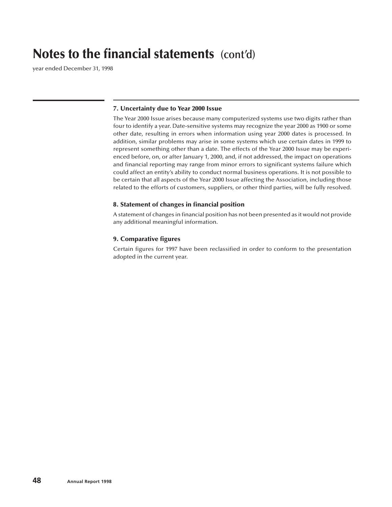## **Notes to the financial statements (cont'd)**

year ended December 31, 1998

#### **7. Uncertainty due to Year 2000 Issue**

The Year 2000 Issue arises because many computerized systems use two digits rather than four to identify a year. Date-sensitive systems may recognize the year 2000 as 1900 or some other date, resulting in errors when information using year 2000 dates is processed. In addition, similar problems may arise in some systems which use certain dates in 1999 to represent something other than a date. The effects of the Year 2000 Issue may be experienced before, on, or after January 1, 2000, and, if not addressed, the impact on operations and financial reporting may range from minor errors to significant systems failure which could affect an entity's ability to conduct normal business operations. It is not possible to be certain that all aspects of the Year 2000 Issue affecting the Association, including those related to the efforts of customers, suppliers, or other third parties, will be fully resolved.

#### **8. Statement of changes in financial position**

A statement of changes in financial position has not been presented as it would not provide any additional meaningful information.

## **9. Comparative figures**

Certain figures for 1997 have been reclassified in order to conform to the presentation adopted in the current year.